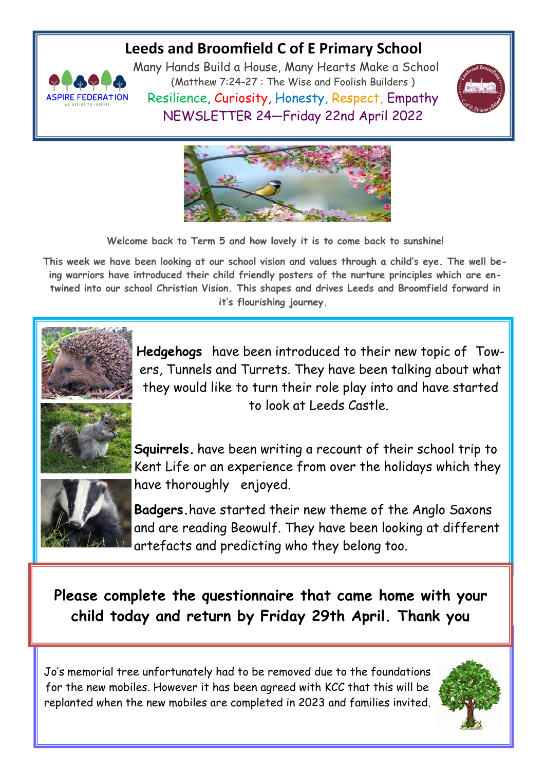## **Leeds and Broomfield C of E Primary School**



Many Hands Build a House, Many Hearts Make a School (Matthew 7:24-27 : The Wise and Foolish Builders ) Resilience, Curiosity, Honesty, Respect, Empathy NEWSLETTER 24—Friday 22nd April 2022





**Welcome back to Term 5 and how lovely it is to come back to sunshine!**

**This week we have been looking at our school vision and values through a child's eye. The well being warriors have introduced their child friendly posters of the nurture principles which are entwined into our school Christian Vision. This shapes and drives Leeds and Broomfield forward in it's flourishing journey.**



**Hedgehogs** have been introduced to their new topic of Towers, Tunnels and Turrets. They have been talking about what they would like to turn their role play into and have started to look at Leeds Castle.



**Squirrels.** have been writing a recount of their school trip to Kent Life or an experience from over the holidays which they have thoroughly enjoyed.

**Badgers.**have started their new theme of the Anglo Saxons and are reading Beowulf. They have been looking at different artefacts and predicting who they belong too.

**Please complete the questionnaire that came home with your child today and return by Friday 29th April. Thank you**

Jo's memorial tree unfortunately had to be removed due to the foundations for the new mobiles. However it has been agreed with KCC that this will be replanted when the new mobiles are completed in 2023 and families invited.

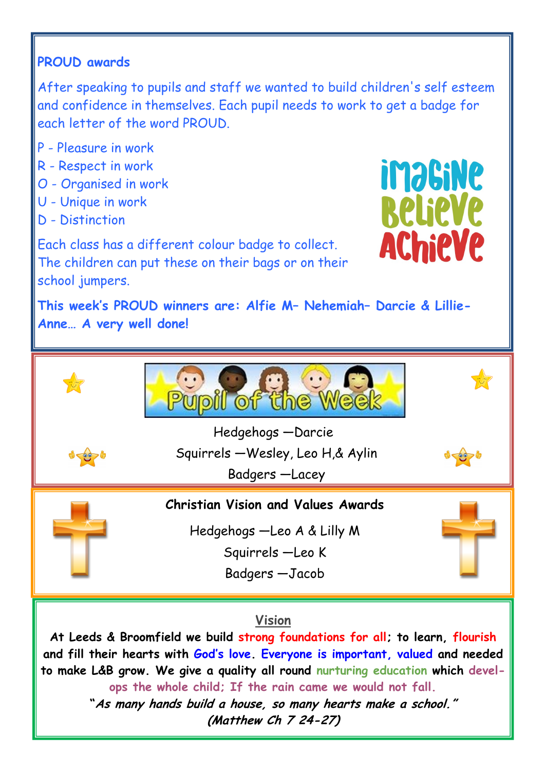## **PROUD awards**

After speaking to pupils and staff we wanted to build children's self esteem and confidence in themselves. Each pupil needs to work to get a badge for each letter of the word PROUD.

- P Pleasure in work
- R Respect in work
- O Organised in work
- U Unique in work
- D Distinction

**imaGiNe Relieve AChieVe** 

Each class has a different colour badge to collect. The children can put these on their bags or on their school jumpers.

**This week's PROUD winners are: Alfie M– Nehemiah– Darcie & Lillie-Anne… A very well done!** 



## **Vision**

**At Leeds & Broomfield we build strong foundations for all; to learn, flourish and fill their hearts with God's love. Everyone is important, valued and needed to make L&B grow. We give a quality all round nurturing education which develops the whole child; If the rain came we would not fall. "As many hands build a house, so many hearts make a school."**

**(Matthew Ch 7 24-27)**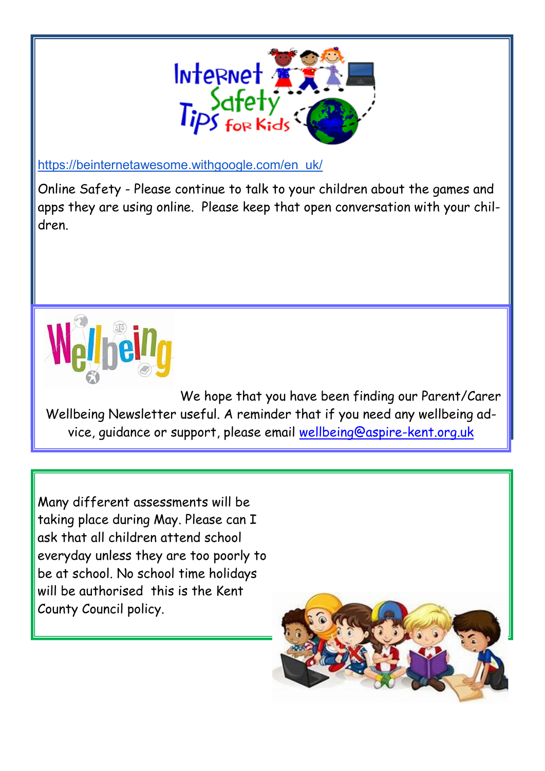

[https://beinternetawesome.withgoogle.com/en\\_uk/](https://beinternetawesome.withgoogle.com/en_uk/)

Online Safety - Please continue to talk to your children about the games and apps they are using online. Please keep that open conversation with your children.



We hope that you have been finding our Parent/Carer Wellbeing Newsletter useful. A reminder that if you need any wellbeing advice, guidance or support, please email [wellbeing@aspire-kent.org.uk](mailto:wellbeing@aspire-kent.org.uk)

Many different assessments will be taking place during May. Please can I ask that all children attend school everyday unless they are too poorly to be at school. No school time holidays will be authorised this is the Kent County Council policy.